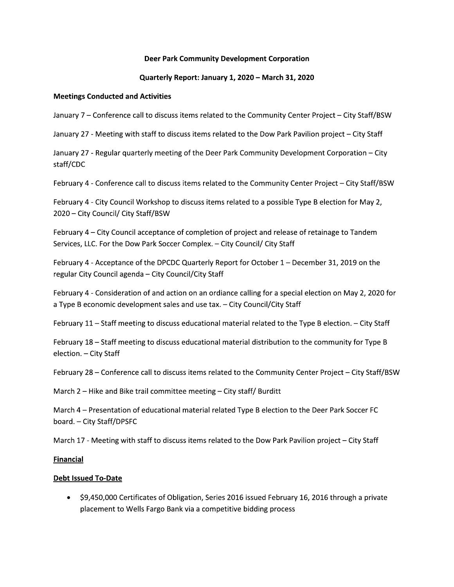# Deer Park Community Development Corporation

# Quarterly Report: January 1, 2020 – March 31, 2020

# Meetings Conducted and Activities

**Example 12.1 Set of Park Community Development Corporation<br>
Quarterly Report: January 1, 2020 – March 31, 2020<br>
Meetings Conducted and Activities<br>
January 7 – Conference call to discuss items related to the Dow Park Pavil** Quarterly Report: January 1, 2020 – March 31, 2020<br>
Meetings Conducted and Activities<br>
January 7 – Conference call to discuss items related to the Community Center Project – City Staff/BSW<br>
January 27 - Meeting with staff staff/CDC January 7 – Conference call to discuss items related to the Community Center Project – City Staff/BSW<br>January 27 - Meeting with staff to discuss items related to the Dow Park Pavilion project – City Staff<br>January 27 - Regu

Santary 27 - Weeting with start to discuss neins reated to the Dow Fark Favilion project - City start<br>January 27 - Regular quarterly meeting of the Deer Park Community Development Corporation - City<br>staff/DC<br>February 4 stail/CDC<br>February 4 - Conference call to discuss items related to the Community Center Pro<br>February 4 - City Council/ City Staff/BSW<br>Pebruary 4 – City Council/ City Staff/BSW<br>February 4 – City Council acceptance of comple February 4 - Connerente can to discuss items related to the community center Project – City Stariyas-<br>
February 4 - City Council/ City Staff/BSW<br>
February 4 - City Council acceptance of completion of project and release of February 4 - City Council Workshop to discuss items related to<br>2020 – City Council/ City Staff/BSW<br>February 4 – City Council acceptance of completion of project<br>Services, LLC. For the Dow Park Soccer Complex. – City Counc<br> Ebruary 4 – City Council acceptance of completion of project and release of retainage to Tandem<br>Services, LLC. For the Dow Park Soccer Complex. – City Council/ City Staff<br>February 4 - Acceptance of the DPCDC Quarterly Repo February 4 – City Council acceptance of completion of project and release of retainag<br>Services, LLC. For the Dow Park Soccer Complex. – City Council/ City Staff<br>February 4 - Acceptance of the DPCDC Quarterly Report for Oct Services, EEC. For the Dow Fark Soccer Complex. - City Council, City 3tari<br>
February 4 - Acceptance of the DPCDC Quarterly Report for October 1 - December 31, 2019 on the<br>
regular City Council agenda – City Council/City St IFEDIMALY 4 - Accelynter Orthotomal and action on an ordiance calling for a special election on May 2, 2020 for<br>
Tegular City Council agenda – City Council/City Staff<br>
February 4 - Consideration of and action on an ordian

election. - City Staff IFEDIVIALY 4 - COISING REGION OF AND ON ANOTOTH AND ONDERFORMATE CHING REPORT AND A Type B economic development sales and use tax. - City Council/City Staff<br>February 11 - Staff meeting to discuss educational material relat February 18 – Staff meeting to discuss educational material distribution to the community for Type B<br>election. – City Staff<br>February 28 – Conference call to discuss items related to the Community Center Project – City Staf

board. - City Staff/DPSFC

#### Financial

# <u>Debt Issued To-Date</u>

February 28 – Conference call to discuss items related to the Community Center Project – City Staff/<br>
March 2 – Hike and Bike trail committee meeting – City staff/ Burditt<br>
March 4 – Presentation of educational material re rd. – City Staff/DPSFC<br>ch 17 - Meeting with staff to discuss items related to the Dow Park Pavilion project – City Staff<br>**noial**<br>• S9,450,000 Certificates of Obligation, Series 2016 issued February 16, 2016 through a priva placement to Wells Fargo Bank via a competitive bidding process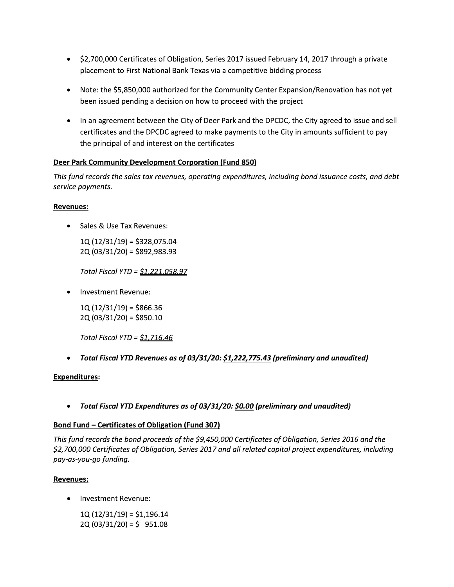- \$2,700,000 Certificates of Obligation, Series 2017 issued February 14, 2017 through a private placement to First National Bank Texas via a competitive bidding process
- Note: the \$5,850,000 authorized for the Community Center Expansion/Renovation has not yet been issued pending a decision on how to proceed with the project
- In an agreement between the City of Deer Park and the DPCDC, the City agreed to issue and sell certificates and the DPCDC agreed to make payments to the City in amounts sufficient to pay the principal of and interest on the certificates

## Deer Park Community Development Corporation (Fund 850)

This fund records the sales tax revenues, operating expenditures, including bond issuance costs, and debt service payments.

## **Revenues:**

Sales & Use Tax Revenues:

 $1Q(12/31/19) = $328,075.04$  $2Q(03/31/20) = $892,983.93$ 

Total Fiscal YTD = <u>\$1,221,058.97</u>

Investment Revenue:

 $1Q(12/31/19) = $866.36$ 2Q (03/31/20) = \$850.10

Total Fiscal YTD =  $$1,716.46$ 

• Total Fiscal YTD Revenues as of 03/31/20: \$1,222,775.43 (preliminary and unaudited)

#### **Expenditures:**

Total Fiscal YTD Expenditures as of 03/31/20: \$0.00 (preliminary and unaudited)  $\bullet$ 

#### **Bond Fund - Certificates of Obligation (Fund 307)**

This fund records the bond proceeds of the \$9,450,000 Certificates of Obligation, Series 2016 and the \$2,700,000 Certificates of Obligation, Series 2017 and all related capital project expenditures, including pay-as-you-go funding.

#### **Revenues:**

Investment Revenue:

 $1Q(12/31/19) = $1,196.14$  $2Q(03/31/20) = $ 951.08$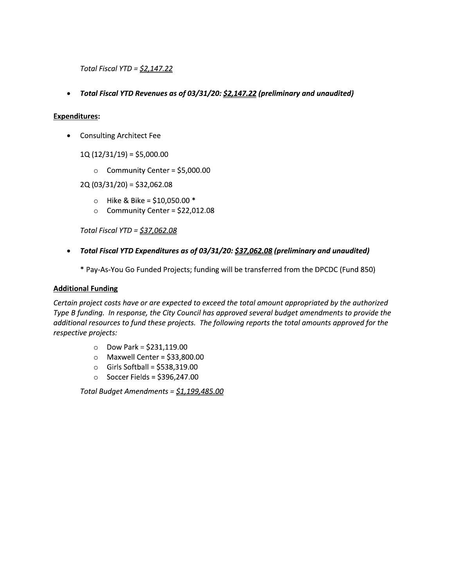Total Fiscal YTD = <u>\$2,147.22</u>

Total Fiscal YTD = <u>\$2,147.22</u><br>
• Total Fiscal YTD Revenues as of 03/31/20: <u>\$2,147.22</u> (preliminary and unaudited)<br>
• Consulting Architect Fee<br>
1Q (12/31/19) = \$5,000.00<br>
⊙ Community Center = \$5,000.00

## Expenditures:

- Consulting Architect Fee
	- $1Q(12/31/19) = $5,000.00$ 
		- $\circ$  Community Center = \$5,000.00

 $2Q(03/31/20) = $32,062.08$ 

- $\circ$  Hike & Bike = \$10,050.00 \*
- $\circ$  Community Center = \$22,012.08

Total Fiscal YTD = <u>\$37,062.08</u>

- - \* Pay-As-You Go Funded Projects; funding will be transferred from the DPCDC (Fund 850)

#### **Additional Funding**

2Q (03/31/20) = \$32,062.08<br>
bike & Bike = \$10,050.00 \*<br>
community Center = \$22,012.08<br>
Total Fiscal YTD = <u>\$37,062.08</u><br>
Total Fiscal YTD Expenditures as of 03/31/20: <u>\$37,062.08</u> (preliminary and unaudited)<br>
\* Pay-As-You Certain project costs have or are expected to exceed the total amount appropriated by the authorized Type B funding. Th response, the City Council has approved several budget amendments to provide the additional resources to fund these projects. The following reports the total amounts approved for the respective projects:

- $\circ$  Dow Park = \$231,119.00
- $\circ$  Maxwell Center = \$33,800.00
- $\circ$  Girls Softball = \$538,319.00
- $\circ$  Soccer Fields = \$396,247.00

Total Budget Amendments = <u>\$1,199,485.00</u>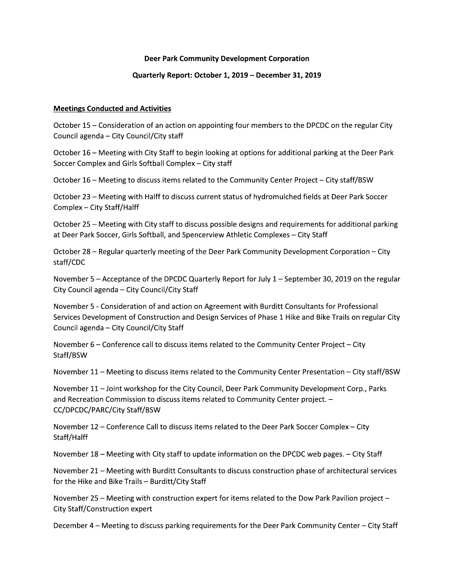#### Deer Park Community Development Corporation

#### Quarterly Report: October 1, 2019 - December 31, 2019

#### **Meetings Conducted and Activities**

October 15 – Consideration of an action on appointing four members to the DPCDC on the regular City Council agenda - City Council/City staff

October 16 – Meeting with City Staff to begin looking at options for additional parking at the Deer Park Soccer Complex and Girls Softball Complex - City staff

October 16 - Meeting to discuss items related to the Community Center Project - City staff/BSW

October 23 - Meeting with Halff to discuss current status of hydromulched fields at Deer Park Soccer Complex - City Staff/Halff

October 25 - Meeting with City staff to discuss possible designs and requirements for additional parking at Deer Park Soccer, Girls Softball, and Spencerview Athletic Complexes - City Staff

October 28 – Regular quarterly meeting of the Deer Park Community Development Corporation – City staff/CDC

November 5 – Acceptance of the DPCDC Quarterly Report for July  $1$  – September 30, 2019 on the regular City Council agenda - City Council/City Staff

November 5 - Consideration of and action on Agreement with Burditt Consultants for Professional Services Development of Construction and Design Services of Phase 1 Hike and Bike Trails on regular City Council agenda - City Council/City Staff

November 6 – Conference call to discuss items related to the Community Center Project – City Staff/BSW

November 11 - Meeting to discuss items related to the Community Center Presentation - City staff/BSW

November 11 - Joint workshop for the City Council, Deer Park Community Development Corp., Parks and Recreation Commission to discuss items related to Community Center project. -CC/DPCDC/PARC/City Staff/BSW

November 12 - Conference Call to discuss items related to the Deer Park Soccer Complex - City Staff/Halff

November 18 - Meeting with City staff to update information on the DPCDC web pages. - City Staff

November 21 - Meeting with Burditt Consultants to discuss construction phase of architectural services for the Hike and Bike Trails - Burditt/City Staff

November 25 – Meeting with construction expert for items related to the Dow Park Pavilion project – City Staff/Construction expert

December 4 – Meeting to discuss parking requirements for the Deer Park Community Center – City Staff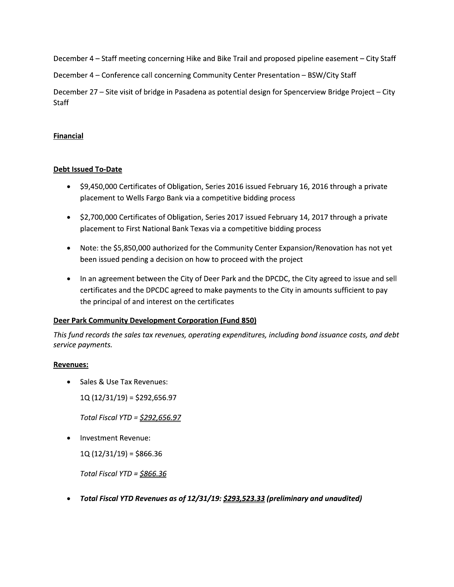December 4 – Staff meeting concerning Hike and Bike Trail and proposed pipeline easement – City Staff

December 4 - Conference call concerning Community Center Presentation - BSW/City Staff

December 27 – Site visit of bridge in Pasadena as potential design for Spencerview Bridge Project – City Staff

# **Financial**

# **Debt Issued To-Date**

- \$9,450,000 Certificates of Obligation, Series 2016 issued February 16, 2016 through a private placement to Wells Fargo Bank via a competitive bidding process
- \$2,700,000 Certificates of Obligation, Series 2017 issued February 14, 2017 through a private placement to First National Bank Texas via a competitive bidding process
- Note: the \$5,850,000 authorized for the Community Center Expansion/Renovation has not yet  $\bullet$ been issued pending a decision on how to proceed with the project
- In an agreement between the City of Deer Park and the DPCDC, the City agreed to issue and sell certificates and the DPCDC agreed to make payments to the City in amounts sufficient to pay the principal of and interest on the certificates

## Deer Park Community Development Corporation (Fund 850)

This fund records the sales tax revenues, operating expenditures, including bond issuance costs, and debt service payments.

## **Revenues:**

- Sales & Use Tax Revenues:  $\bullet$ 
	- $1Q(12/31/19) = $292,656.97$

Total Fiscal YTD = \$292,656.97

Investment Revenue:

 $1Q(12/31/19) = $866.36$ 

Total Fiscal YTD =  $$866.36$ 

Total Fiscal YTD Revenues as of 12/31/19: \$293,523.33 (preliminary and unaudited)